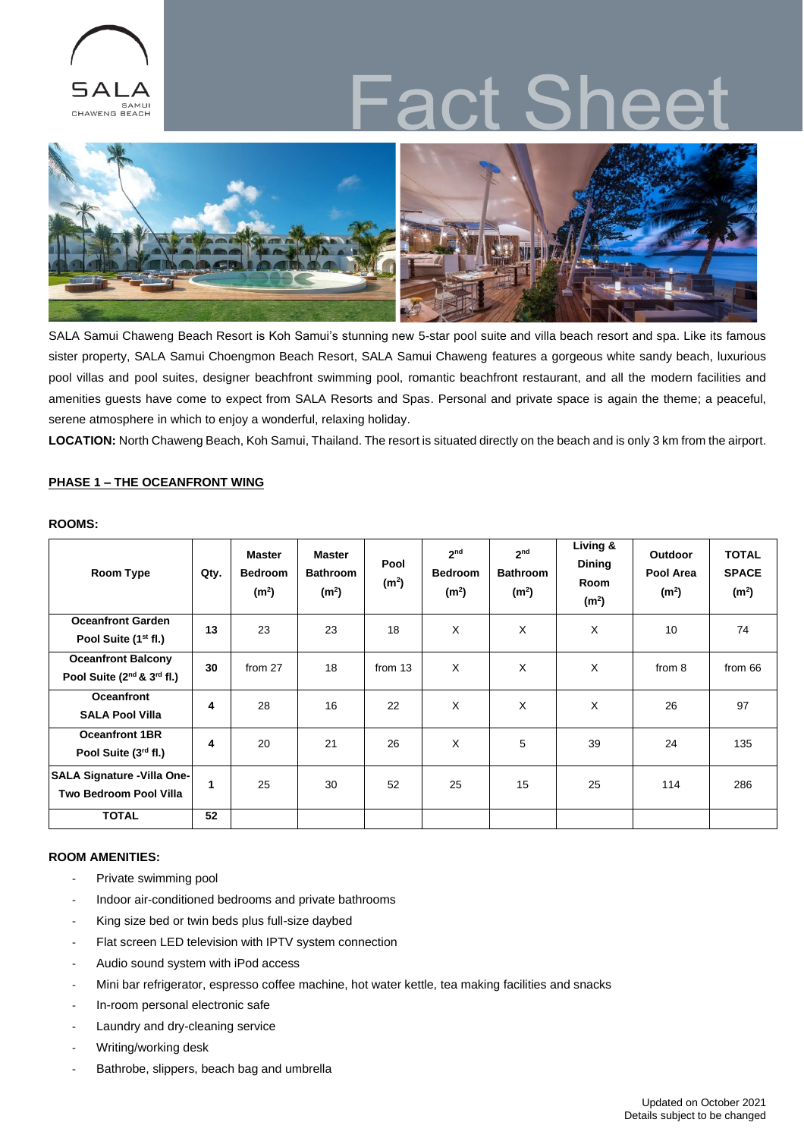

# CT S



SALA Samui Chaweng Beach Resort is Koh Samui's stunning new 5-star pool suite and villa beach resort and spa. Like its famous sister property, SALA Samui Choengmon Beach Resort, SALA Samui Chaweng features a gorgeous white sandy beach, luxurious pool villas and pool suites, designer beachfront swimming pool, romantic beachfront restaurant, and all the modern facilities and amenities guests have come to expect from SALA Resorts and Spas. Personal and private space is again the theme; a peaceful, serene atmosphere in which to enjoy a wonderful, relaxing holiday.

LOCATION: North Chaweng Beach, Koh Samui, Thailand. The resort is situated directly on the beach and is only 3 km from the airport.

# **PHASE 1 – THE OCEANFRONT WING**

## **ROOMS:**

| <b>Room Type</b>                       | Qty.         | <b>Master</b><br><b>Bedroom</b><br>(m <sup>2</sup> ) | <b>Master</b><br><b>Bathroom</b><br>(m <sup>2</sup> ) | Pool<br>(m <sup>2</sup> ) | 2 <sub>nd</sub><br><b>Bedroom</b><br>(m <sup>2</sup> ) | 2 <sub>nd</sub><br><b>Bathroom</b><br>(m <sup>2</sup> ) | Living &<br><b>Dining</b><br>Room<br>(m <sup>2</sup> ) | <b>Outdoor</b><br>Pool Area<br>(m <sup>2</sup> ) | <b>TOTAL</b><br><b>SPACE</b><br>(m <sup>2</sup> ) |
|----------------------------------------|--------------|------------------------------------------------------|-------------------------------------------------------|---------------------------|--------------------------------------------------------|---------------------------------------------------------|--------------------------------------------------------|--------------------------------------------------|---------------------------------------------------|
| <b>Oceanfront Garden</b>               | 13           | 23                                                   | 23                                                    | 18                        | X                                                      | $\times$                                                | X                                                      | 10                                               | 74                                                |
| Pool Suite (1 <sup>st</sup> fl.)       |              |                                                      |                                                       |                           |                                                        |                                                         |                                                        |                                                  |                                                   |
| <b>Oceanfront Balcony</b>              | 30           | from 27                                              | 18                                                    | from 13                   | X                                                      | X                                                       | X                                                      | from 8                                           | from 66                                           |
| Pool Suite $(2^{nd} 8 \cdot 3^{rd} 1)$ |              |                                                      |                                                       |                           |                                                        |                                                         |                                                        |                                                  |                                                   |
| <b>Oceanfront</b>                      | 4            | 28                                                   | 16                                                    | 22                        | X                                                      | X                                                       | X                                                      | 26                                               | 97                                                |
| <b>SALA Pool Villa</b>                 |              |                                                      |                                                       |                           |                                                        |                                                         |                                                        |                                                  |                                                   |
| <b>Oceanfront 1BR</b>                  | 4            | 20                                                   | 21                                                    | 26                        | X                                                      | 5                                                       | 39                                                     | 24                                               | 135                                               |
| Pool Suite (3rd fl.)                   |              |                                                      |                                                       |                           |                                                        |                                                         |                                                        |                                                  |                                                   |
| SALA Signature - Villa One-            | $\mathbf{1}$ | 25                                                   | 30                                                    | 52                        | 25                                                     | 15                                                      | 25                                                     | 114                                              | 286                                               |
| <b>Two Bedroom Pool Villa</b>          |              |                                                      |                                                       |                           |                                                        |                                                         |                                                        |                                                  |                                                   |
| <b>TOTAL</b>                           | 52           |                                                      |                                                       |                           |                                                        |                                                         |                                                        |                                                  |                                                   |

# **ROOM AMENITIES:**

- Private swimming pool
- Indoor air-conditioned bedrooms and private bathrooms
- King size bed or twin beds plus full-size daybed
- Flat screen LED television with IPTV system connection
- Audio sound system with iPod access
- Mini bar refrigerator, espresso coffee machine, hot water kettle, tea making facilities and snacks
- In-room personal electronic safe
- Laundry and dry-cleaning service
- Writing/working desk
- Bathrobe, slippers, beach bag and umbrella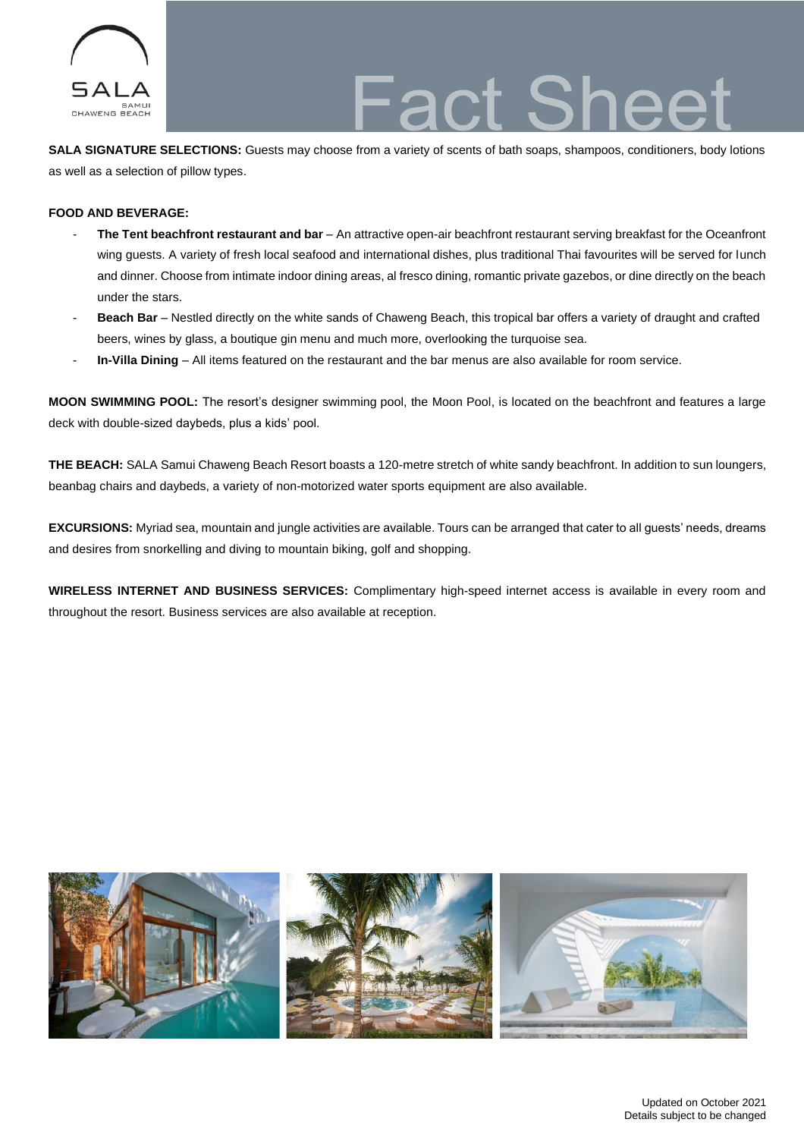

**SALA SIGNATURE SELECTIONS:** Guests may choose from a variety of scents of bath soaps, shampoos, conditioners, body lotions as well as a selection of pillow types.

# **FOOD AND BEVERAGE:**

- **The Tent beachfront restaurant and bar**  An attractive open-air beachfront restaurant serving breakfast for the Oceanfront wing guests. A variety of fresh local seafood and international dishes, plus traditional Thai favourites will be served for lunch and dinner. Choose from intimate indoor dining areas, al fresco dining, romantic private gazebos, or dine directly on the beach under the stars.
- Beach Bar Nestled directly on the white sands of Chaweng Beach, this tropical bar offers a variety of draught and crafted beers, wines by glass, a boutique gin menu and much more, overlooking the turquoise sea.
- **In-Villa Dining** All items featured on the restaurant and the bar menus are also available for room service.

**MOON SWIMMING POOL:** The resort's designer swimming pool, the Moon Pool, is located on the beachfront and features a large deck with double-sized daybeds, plus a kids' pool.

**THE BEACH:** SALA Samui Chaweng Beach Resort boasts a 120-metre stretch of white sandy beachfront. In addition to sun loungers, beanbag chairs and daybeds, a variety of non-motorized water sports equipment are also available.

**EXCURSIONS:** Myriad sea, mountain and jungle activities are available. Tours can be arranged that cater to all guests' needs, dreams and desires from snorkelling and diving to mountain biking, golf and shopping.

**WIRELESS INTERNET AND BUSINESS SERVICES:** Complimentary high-speed internet access is available in every room and throughout the resort. Business services are also available at reception.

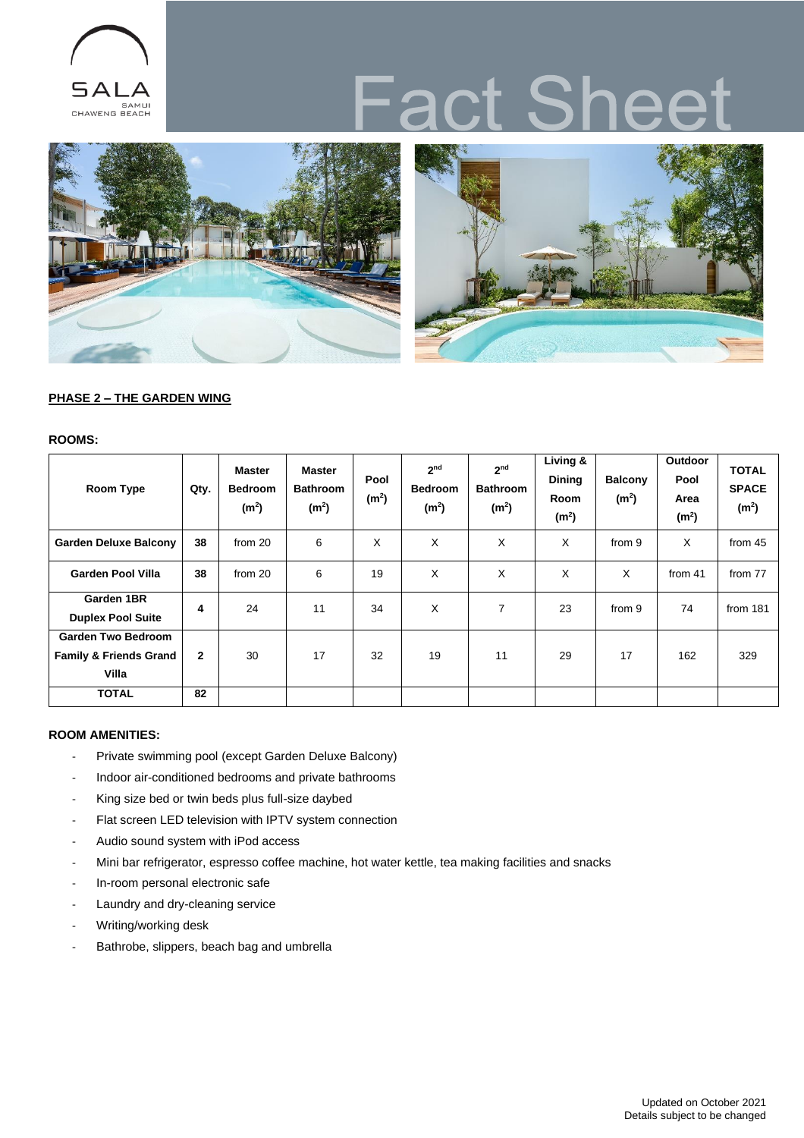

# act She



# **PHASE 2 – THE GARDEN WING**

### **ROOMS:**

| <b>Room Type</b>                                                        | Qty.         | <b>Master</b><br><b>Bedroom</b><br>(m <sup>2</sup> ) | <b>Master</b><br><b>Bathroom</b><br>(m <sup>2</sup> ) | Pool<br>(m <sup>2</sup> ) | 2 <sub>nd</sub><br><b>Bedroom</b><br>(m <sup>2</sup> ) | 2 <sub>nd</sub><br><b>Bathroom</b><br>(m <sup>2</sup> ) | $Living$ &<br><b>Dining</b><br><b>Room</b><br>(m <sup>2</sup> ) | <b>Balcony</b><br>(m <sup>2</sup> ) | Outdoor<br>Pool<br>Area<br>(m <sup>2</sup> ) | <b>TOTAL</b><br><b>SPACE</b><br>(m <sup>2</sup> ) |
|-------------------------------------------------------------------------|--------------|------------------------------------------------------|-------------------------------------------------------|---------------------------|--------------------------------------------------------|---------------------------------------------------------|-----------------------------------------------------------------|-------------------------------------|----------------------------------------------|---------------------------------------------------|
| <b>Garden Deluxe Balcony</b>                                            | 38           | from 20                                              | 6                                                     | X                         | X                                                      | X                                                       | X                                                               | from 9                              | X                                            | from 45                                           |
| <b>Garden Pool Villa</b>                                                | 38           | from 20                                              | 6                                                     | 19                        | X                                                      | X                                                       | X                                                               | X                                   | from 41                                      | from 77                                           |
| Garden 1BR<br><b>Duplex Pool Suite</b>                                  | 4            | 24                                                   | 11                                                    | 34                        | X                                                      | 7                                                       | 23                                                              | from 9                              | 74                                           | from 181                                          |
| <b>Garden Two Bedroom</b><br><b>Family &amp; Friends Grand</b><br>Villa | $\mathbf{2}$ | 30                                                   | 17                                                    | 32                        | 19                                                     | 11                                                      | 29                                                              | 17                                  | 162                                          | 329                                               |
| <b>TOTAL</b>                                                            | 82           |                                                      |                                                       |                           |                                                        |                                                         |                                                                 |                                     |                                              |                                                   |

# **ROOM AMENITIES:**

- Private swimming pool (except Garden Deluxe Balcony)
- Indoor air-conditioned bedrooms and private bathrooms
- King size bed or twin beds plus full-size daybed
- Flat screen LED television with IPTV system connection
- Audio sound system with iPod access
- Mini bar refrigerator, espresso coffee machine, hot water kettle, tea making facilities and snacks
- In-room personal electronic safe
- Laundry and dry-cleaning service
- Writing/working desk
- Bathrobe, slippers, beach bag and umbrella